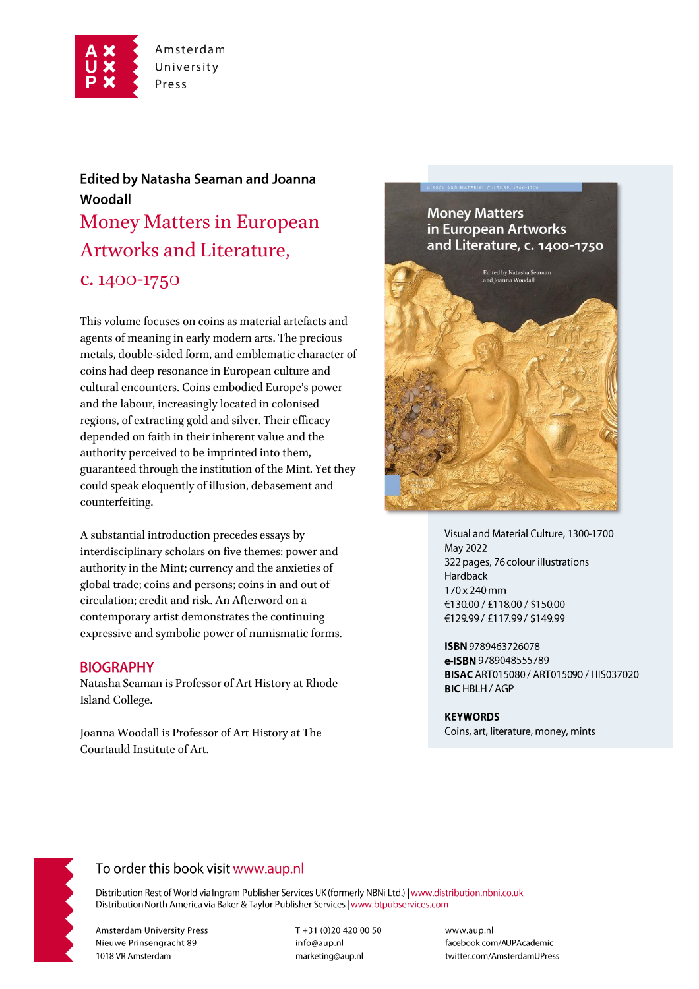

# **Edited by Natasha Seaman and Joanna** Woodall Money Matters in European Artworks and Literature, c. 1400-1750

This volume focuses on coins as material artefacts and agents of meaning in early modern arts. The precious metals, double-sided form, and emblematic character of coins had deep resonance in European culture and cultural encounters. Coins embodied Europe's power and the labour, increasingly located in colonised regions, of extracting gold and silver. Their efficacy depended on faith in their inherent value and the authority perceived to be imprinted into them, guaranteed through the institution of the Mint. Yet they could speak eloquently of illusion, debasement and counterfeiting.

A substantial introduction precedes essays by interdisciplinary scholars on five themes: power and authority in the Mint; currency and the anxieties of global trade; coins and persons; coins in and out of circulation; credit and risk. An Afterword on a contemporary artist demonstrates the continuing expressive and symbolic power of numismatic forms.

### **BIOGRAPHY**

Natasha Seaman is Professor of Art History at Rhode Island College.

Joanna Woodall is Professor of Art History at The Courtauld Institute of Art.

## **Money Matters** in European Artworks and Literature, c. 1400-1750



Visual and Material Culture, 1300-1700 May 2022 322 pages, 76 colour illustrations Hardback 170 x 240 mm €130.00 / £118.00 / \$150.00 €129.99 / £117.99 / \$149.99

ISBN 9789463726078 e-ISBN 9789048555789 BISAC ART015080 / ART015090 / HIS037020 **BIC HBLH / AGP** 

**KEYWORDS** Coins, art, literature, money, mints



## To order this book visit www.aup.nl

Distribution Rest of World via Ingram Publisher Services UK (formerly NBNi Ltd.) | www.distribution.nbni.co.uk Distribution North America via Baker & Taylor Publisher Services | www.btpubservices.com

**Amsterdam University Press** Nieuwe Prinsengracht 89 1018 VR Amsterdam

T+31 (0)20 420 00 50 info@aup.nl marketing@aup.nl

www.aup.nl facebook.com/AUPAcademic twitter.com/AmsterdamUPress